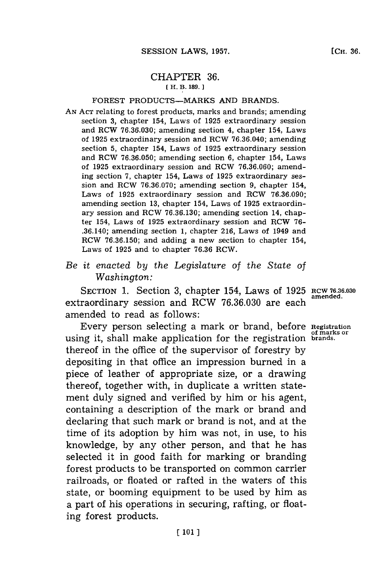## CHAPTER **36. [H. B. 189.]1**

## FOREST PRODUCTS-MARKS **AND** BRANDS.

- **AN ACT** relating to forest products, marks and brands; amending section **3,** chapter 154, Laws of **1925** extraordinary session and RCW **76.36.030;** amending section 4, chapter 154, Laws of **1925** extraordinary session and RCW **76.36.040;** amending section **5,** chapter 154, Laws of **1925** extraordinary session and RCW **76.36.050;** amending section **6,** chapter 154, Laws of **1925** extraordinary session and RCW **76.36.060;** amending section **7,** chapter 154, Laws of **1925** extraordinary session and RCW **76.36.070;** amending section **9,** chapter 154, Laws of **1925** extraordinary session and RCW **76.36.090;** amending section **13,** chapter 154, Laws of **1925** extraordinary session and RCW **76.36.130;** amending section 14, chapter 154, Laws of **1925** extraordinary session and RCW **76-** .36.140; amending section **1,** chapter **216,** Laws of 1949 and RCW **76.36.150;** and adding a new section to chapter 154, Laws of **1925** and to chapter **76.36** RCW.
- *Be it enacted by the Legislature of the State of Washington:*

SECTION 1. Section 3, chapter 154, Laws of 1925 RCW 76.36.030 extraordinary session and RCW **76.36.030** are each amended to read as follows:

Every person selecting a mark or brand, before **Registration** using it, shall make application for the registration **brands.** thereof in the office of the supervisor of forestry **by** depositing in that office an impression burned in a piece of leather of appropriate size, or a drawing thereof, together with, in duplicate a written statement duly signed and verified **by** him or his agent, containing a description of the mark or brand and declaring that such mark or brand is not, and at the time of its adoption **by** him was not, in use, to his knowledge, **by** any other person, and that he has selected it in good faith for marking or branding forest products to be transported on common carrier railroads, or floated or rafted in the waters of this state, or booming equipment to be used **by** him as a part of his operations in securing, rafting, or floating forest products.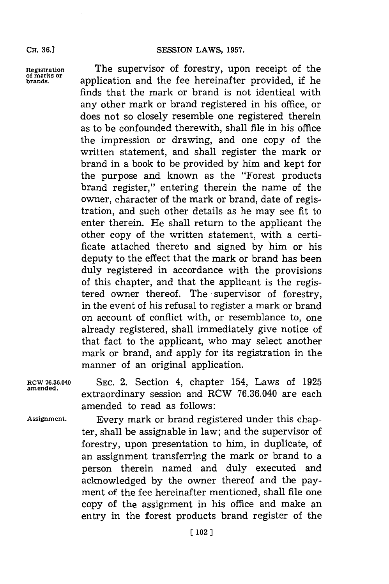## **CR. 36.]SESSION LAWS, 1957.**

**of marks or**

**Registration** The supervisor of forestry, upon receipt of the **brands,** application and the fee hereinafter provided, if he finds that the mark or brand is not identical with any other mark or brand registered in his office, or does not so closely resemble one registered therein as to be confounded therewith, shall file in his office the impression or drawing, and one copy of the written statement, and shall register the mark or brand in a book to be provided **by** him and kept **for** the purpose and known as the "Forest products brand register," entering therein the name of the owner, character of the mark or brand, date of registration, and such other details as he may see fit to enter therein. He shall return to the applicant the other copy of the written statement, with a certificate attached thereto and signed **by** him or his deputy to the effect that the mark or brand has been duly registered in accordance with the provisions of this chapter, and that the applicant is the registered owner thereof. The supervisor of forestry, in the event of his refusal to register a mark or brand on account of conflict with, or resemblance to, one already registered, shall immediately give notice of that fact to the applicant, who may select another mark or brand, and apply for its registration in the manner of an original application.

**RCW 76.36.040 SEC.** 2. Section 4, chapter 154, Laws of **1925** extraordinary session and RCW 76.36.040 are each amended to read as follows:

**Assignment.** Every mark or brand registered under this chapter, shall be assignable in law; and the supervisor of forestry, upon presentation to him, in duplicate, of an assignment transferring the mark or brand to a person therein named and duly executed and acknowledged **by** the owner thereof and the payment of the fee hereinafter mentioned, shall file one copy of the assignment in his office and make an entry in the forest products brand register of the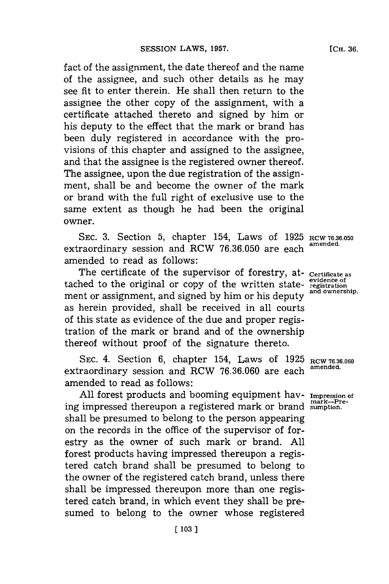fact of the assignment, the date thereof and the name of the assignee, and such other details as he may see fit to enter therein. He shall then return to the assignee the other copy of the assignment, with a certificate attached thereto and signed **by** him or his deputy to the effect that the mark or brand has been duly registered in accordance with the provisions of this chapter and assigned to the assignee, and that the assignee is the registered owner thereof. The assignee, upon the due registration of the assignment, shall be and become the owner of the mark or brand with the full right of exclusive use to the same extent as though he had been the original owner.

SEC. **3.** Section **5,** chapter 154, Laws of **1925 RCW 76.36.050** extraordinary session and RCW 76.36.050 are each amended to read as follows:

The certificate of the supervisor of forestry, at- certificate as tached to the original or copy of the written state- **registration**<br>and ownership. ment or assignment, and signed by him or his deputy as herein provided, shall be received in all courts of this state as evidence of the due and proper registration of the mark or brand and of the ownership thereof without proof of the signature thereto.

SEC. 4. Section 6, chapter 154, Laws of 1925 RCW 76.36.060 extraordinary session and RCW **76.36.060** are each **amended.** amended to read as follows:

**All** forest products and booming equipment hay- **Impression of mark-Pre-** ing impressed thereupon a registered mark or brand **sumption.** shall be presumed to belong to the person appearing on the records in the office of the supervisor of forestry as the owner of such mark or brand. **All** forest products having impressed thereupon a registered catch brand shall be presumed to belong to the owner of the registered catch brand, unless there shall be impressed thereupon more than one registered catch brand, in which event they shall be presumed to belong to the owner whose registered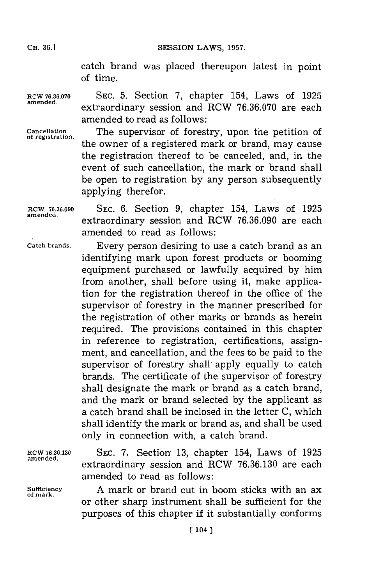**CH. 36.1**

catch brand was placed thereupon latest in point of time.

**RCW 76.36.070 SEC. 5.** Section **7,** chapter 154, Laws of **1925** extraordinary session and RCW 76.36.070 are each amended to read as follows:

**Cancellation of registration.**

The supervisor of forestry, upon the petition of the owner of a registered mark or brand, may cause the registration thereof to be canceled, and, in the event of such cancellation, the mark or brand shall be open to registration **by** any person subsequently applying therefor.

**RCW 76.36.090 amended.**

**SEC. 6.** Section **9,** chapter 154, Laws of **1925** extraordinary session and RCW **76.36.090** are each amended to read as follows:

**Catch brands.**

Every person desiring to use a catch brand as an identifying mark upon forest products or booming equipment purchased or lawfully acquired **by** him from another, shall before using it, make application for the registration thereof in the office of the supervisor of forestry in the manner prescribed for the registration of other marks or brands as herein required. The provisions contained in this chapter in reference to registration, certifications, assignment, and cancellation, and the fees to be paid to the supervisor of forestry shall apply equally to catch brands. The certificate of the supervisor of forestry shall designate the mark or brand as a catch brand, and the mark or brand selected **by** the applicant as a catch brand shall be inclosed in the letter **C,** which shall identify the mark or brand as, and shall be used only in connection with, a catch brand.

**amended.**

**of mark.**

**RCW 76.36.130 SEC. 7. Section 13, chapter 154, Laws of 1925** extraordinary session and RCW **76.36.130** are each amended to read as follows:

**Sufficiency A** mark or brand cut in boom sticks with an ax or other sharp instrument shall be sufficient for the purposes of this chapter **if** it substantially conforms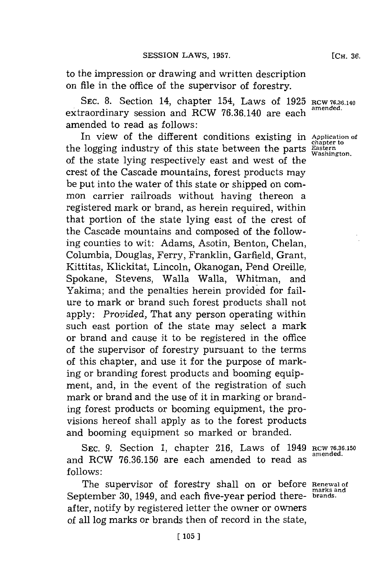to the impression or drawing and written description on file in the office of the supervisor of forestry.

SEC. 8. Section 14, chapter 154, Laws of 1925 RCW 76.36.140 extraordinary session and RCW 76.36.140 are each amended to read as follows:

In view of the different conditions existing in Application of the logging industry of this state between the parts **Eastern Washington**. of the state lying respectively east and west of the crest of the Cascade mountains, forest products may be put into the water of this state or shipped on common carrier railroads without having thereon a registered mark or brand, as herein required, within that portion of the state lying east of the crest of the Cascade mountains and composed of the following counties to wit: Adams, Asotin, Benton, Chelan, Columbia, Douglas, Ferry, Franklin, Garfield, Grant, Kittitas, Klickitat, Lincoln, Okanogan, Pend Oreille, Spokane, Stevens, Walla Walla, Whitman, and Yakima; and the penalties herein provided for failure to mark or brand such forest products shall not apply: *Provided,* That any person operating within such east portion of the state may select a mark or brand and cause it to be registered in the office of the supervisor of forestry pursuant to the terms of this chapter, and use it for the purpose of marking or branding forest products and booming equipment, and, in the event of the registration of such mark or brand and the use of it in marking or branding forest products or booming equipment, the provisions hereof shall apply as to the forest products and booming equipment so marked or branded.

**SEC. 9.** Section **1,** chapter **216,** Laws of 1949 **RCW 76.36.150** and RCW 76.36.150 are each amended to read as **follows:**

The supervisor of forestry shall on or before **Renewal of** September **30,** 1949, and each five-year period there- **brands.** after, notify **by** registered letter the owner or owners of all log marks or brands then of record in the state,

**marks and**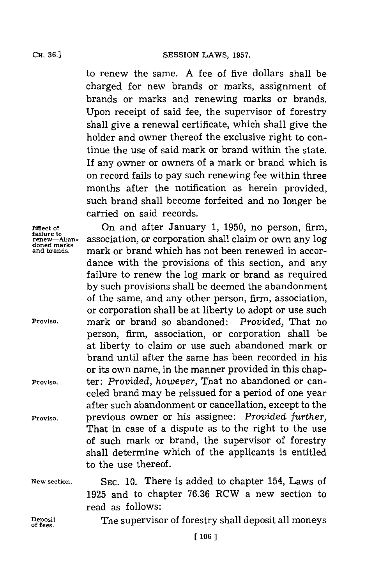**CESSION LAWS, 1957.** 

to renew the same. A fee of five dollars shall be charged for new brands or marks, assignment of brands or marks and renewing marks or brands. Upon receipt of said fee, the supervisor of forestry shall give a renewal certificate, which shall give the holder and owner thereof the exclusive right to continue the use of said mark or brand within the state. If any owner or owners of a mark or brand which is on record fails to pay such renewing fee within three months after the notification as herein provided, such brand shall become forfeited and no longer be carried on said records.

**Effect of failure to renew-Abandoned mnarks and brands.**

**Proviso.**

**Proviso.**

**Proviso.**

On and after January **1, 1950,** no person, firm, association, or corporation shall claim or own any log mark or brand which has not been renewed in accordance with the provisions of this section, and any failure to renew the log mark or brand as required **by** such provisions shall be deemed the abandonment of the same, and any other person, firm, association, or corporation shall be at liberty to adopt or use such mark or brand so abandoned: *Provided,* That no person, firm, association, or corporation shall be at liberty to claim or use such abandoned mark or brand until after the same has been recorded in his or its own name, in the manner provided in this chapter: *Provided, however,* That no abandoned or canceled brand may be reissued for a period of one year after such abandonment or cancellation, except to the previous owner or his assignee: *Provided further,* That in case of a dispute as to the right to the use of such mark or brand, the supervisor of forestry shall determine which of the applicants is entitled to the use thereof.

**New section.**

**SEC. 10.** There is added to chapter 154, Laws of **1925** and to chapter **76.36** RCW a new section to read as follows:

**Deposite**<br>
of fees

The supervisor of forestry shall deposit all moneys